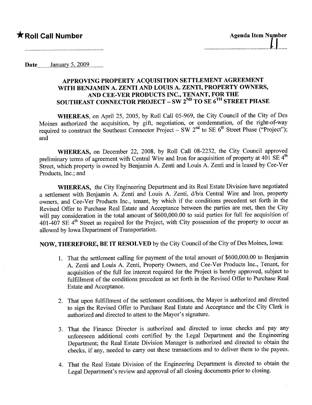## $\bigstar$ Roll Call Number

| <b>Agenda Item Number</b> |  |  |
|---------------------------|--|--|
|                           |  |  |
|                           |  |  |

Date January 5,  $2009$ 

## APPROVING PROPERTY ACQUISITION SETTLEMENT AGREEMENT WITH BENJAMIN A. ZENTI AND LOUIS A. ZENTI, PROPERTY OWNERS, AND CEE-VER PRODUCTS INC., TENANT, FOR THE SOUTHEAST CONNECTOR PROJECT – SW 2<sup>ND</sup> TO SE 6<sup>TH</sup> STREET PHASE

WHEREAS, on April 25, 2005, by Roll Call 05-969, the City Council of the City of Des Moines authorized the acquisition, by gift, negotiation, or condemnation, of the right-of-way required to construct the Southeast Connector Project - SW  $2^{nd}$  to SE  $6^{th}$  Street Phase ("Project"); and

WHEREAS, on December 22, 2008, by Roll Call 08-2232, the City Council approved preliminary terms of agreement with Central Wire and Iron for acquisition of property at  $401$  SE  $4<sup>th</sup>$ Street, which property is owned by Benjamin A. Zenti and Louis A. Zenti and is leased by Cee-Ver Products, Inc.; and

WHEREAS, the City Engineering Department and its Real Estate Division have negotiated a settlement with Benjamin A. Zenti and Louis A. Zenti, d/b/a Central Wire and Iron, property owners, and Cee-Ver Products Inc., tenant, by which if the conditions precedent set forth in the Revised Offer to Purchase Real Estate and Acceptance between the paries are met, then the City will pay consideration in the total amount of \$600,000.00 to said parties for full fee acquisition of  $401-407$  SE  $4<sup>th</sup>$  Street as required for the Project, with City possession of the property to occur as allowed by Iowa Department of Transportation.

NOW, THEREFORE, BE IT RESOLVED by the City Council of the City of Des Moines, Iowa:

- 1. That the settlement callng for payment of the total amount of \$600,000.00 to Benjamin A. Zenti and Louis A. Zenti, Property Owners, and Cee-Ver Products Inc., Tenant, for acquisition of the full fee interest required for the Project is hereby approved, subject to fulfillment of the conditions precedent as set forth in the Revised Offer to Purchase Real Estate and Acceptance.
- 2. That upon fulfillment of the settlement conditions, the Mayor is authorized and directed to sign the Revised Offer to Purchase Real Estate and Acceptance and the City Clerk is authorized and directed to attest to the Mayor's signature.
- 3. That the Finance Director is authorized and directed to issue checks and pay any unforeseen additional costs certified by the Legal Deparment and the Engineering Department; the Real Estate Division Manager is authorized and directed to obtain the checks, if any, needed to cary out these transactions and to deliver them to the payees.
- 4. That the Real Estate Division of the Engineering Department is directed to obtain the Legal Department's review and approval of all closing documents prior to closing.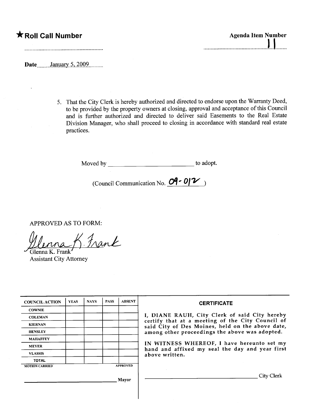## $\star$ Roll Call Number

| <b>Agenda Item Number</b> |  |  |  |  |
|---------------------------|--|--|--|--|
|                           |  |  |  |  |
|                           |  |  |  |  |

**Date** January 5, 2009

5. That the City Clerk is hereby authorized and directed to endorse upon the Warranty Deed, to be provided by the property owners at closing, approval and acceptance of this Council and is further authorized and directed to deliver said Easements to the Real Estate Division Manager, who shall proceed to closing in accordance with standard real estate practices.

Moved by to adopt.

(Council Communication No.  $O$ <sup>- 0</sup>/<sup>2</sup>)

APPROVED AS TO FORM:

 $Inank$ 

~Glenna K. Frank' Assistant City Attorney

| <b>COUNCIL ACTION</b> | <b>YEAS</b> | <b>NAYS</b> | <b>PASS</b> | <b>ABSENT</b>   | <b>CERTIFICATE</b>                                                                                   |
|-----------------------|-------------|-------------|-------------|-----------------|------------------------------------------------------------------------------------------------------|
| <b>COWNIE</b>         |             |             |             |                 |                                                                                                      |
| <b>COLEMAN</b>        |             |             |             |                 | I, DIANE RAUH, City Clerk of said City hereby                                                        |
| <b>KIERNAN</b>        |             |             |             |                 | certify that at a meeting of the City Council of<br>said City of Des Moines, held on the above date, |
| <b>HENSLEY</b>        |             |             |             |                 | among other proceedings the above was adopted.                                                       |
| <b>MAHAFFEY</b>       |             |             |             |                 |                                                                                                      |
| <b>MEYER</b>          |             |             |             |                 | IN WITNESS WHEREOF, I have hereunto set my<br>hand and affixed my seal the day and year first        |
| <b>VLASSIS</b>        |             |             |             |                 | above written.                                                                                       |
| <b>TOTAL</b>          |             |             |             |                 |                                                                                                      |
| <b>MOTION CARRIED</b> |             |             |             | <b>APPROVED</b> |                                                                                                      |
|                       |             |             |             | Mayor           | City Clerk                                                                                           |